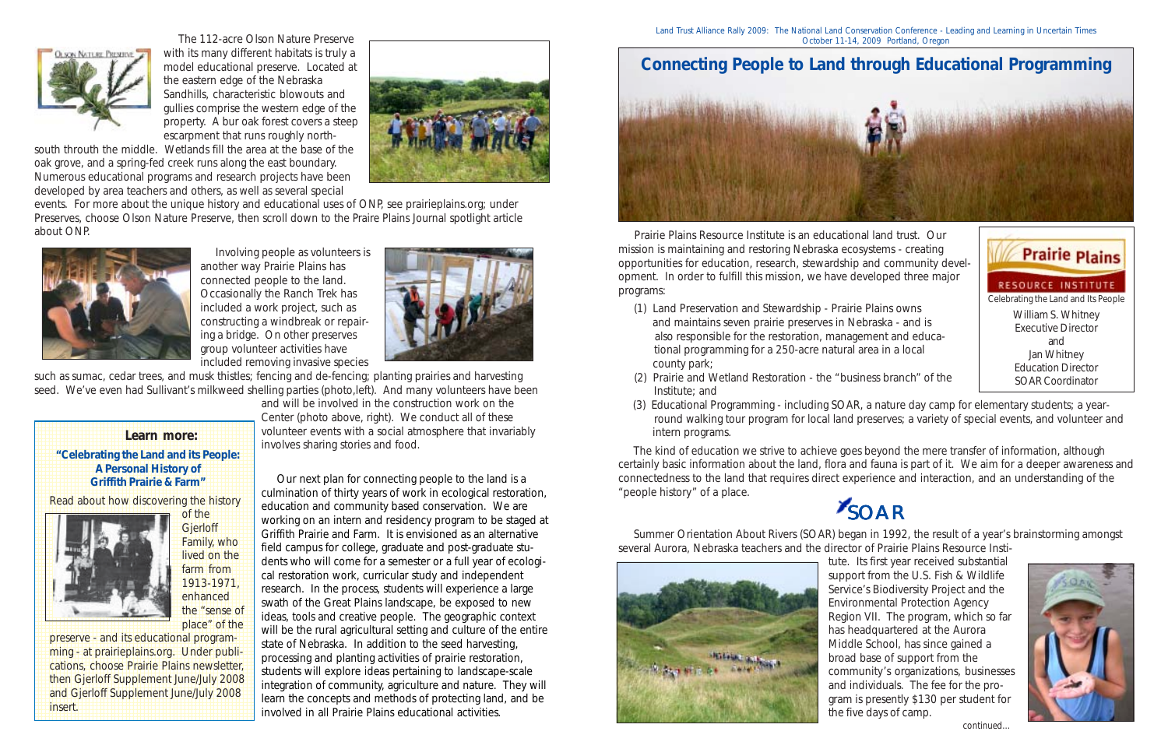

 Prairie Plains Resource Institute is an educational land trust. Our mission is maintaining and restoring Nebraska ecosystems - creating opportunities for education, research, stewardship and community development. In order to fulfill this mission, we have developed three major programs:

- (1) Land Preservation and Stewardship Prairie Plains owns and maintains seven prairie preserves in Nebraska - and is also responsible for the restoration, management and educa tional programming for a 250-acre natural area in a local county park;
- (2) Prairie and Wetland Restoration the "business branch" of the Institute; and
- intern programs.

 (3) Educational Programming - including SOAR, a nature day camp for elementary students; a year round walking tour program for local land preserves; a variety of special events, and volunteer and

 The kind of education we strive to achieve goes beyond the mere transfer of information, although certainly basic information about the land, flora and fauna is part of it. We aim for a deeper awareness and connectedness to the land that requires direct experience and interaction, and an understanding of the "people history" of a place.

 Summer Orientation About Rivers (SOAR) began in 1992, the result of a year's brainstorming amongst several Aurora, Nebraska teachers and the director of Prairie Plains Resource Insti-



tute. Its first year received substantial support from the U.S. Fish & Wildlife Service's Biodiversity Project and the Environmental Protection Agency Region VII. The program, which so far has headquartered at the Aurora Middle School, has since gained a broad base of support from the community's organizations, businesses and individuals. The fee for the program is presently \$130 per student for the five days of camp.

 Our next plan for connecting people to the land is a culmination of thirty years of work in ecological restoration, education and community based conservation. We are working on an intern and residency program to be staged at Griffith Prairie and Farm. It is envisioned as an alternative field campus for college, graduate and post-graduate students who will come for a semester or a full year of ecological restoration work, curricular study and independent research. In the process, students will experience a large swath of the Great Plains landscape, be exposed to new ideas, tools and creative people. The geographic context will be the rural agricultural setting and culture of the entire state of Nebraska. In addition to the seed harvesting, processing and planting activities of prairie restoration, students will explore ideas pertaining to landscape-scale integration of community, agriculture and nature. They will learn the concepts and methods of protecting land, and be involved in all Prairie Plains educational activities.

### **A Personal History of derifith Prairie & Farm"** 1234567890123456789012345678901212345678901234567890123456789 1234567890123456789012345678901212345678901234567890123456789

# SOAR



**Read about how discovering the history** 1234567890123456789012345678901212345678901234567890123456789





 The 112-acre Olson Nature Preserve with its many different habitats is truly a model educational preserve. Located at the eastern edge of the Nebraska Sandhills, characteristic blowouts and gullies comprise the western edge of the property. A bur oak forest covers a steep escarpment that runs roughly north-





1234567890123456789012345678901212345678901234567890123456789 preserve - and its educational program-1234567890123456789012345678901212345678901234567890123456789 ming - at prairieplains.org. Under publications, choose Prairie Plains newsletter, 1234567890123456789012345678901212345678901234567890123456789 **then Gjerloff Supplement June/July 2008** 12345678912345678901234567890123456789012345678901234567890123456789012345678901234567890123456789012345678901 and Gjerloff Supplement June/July 2008 12345678912345678912345678912345678912345678912345678912345678912345678912345678 **12345678012345678901234567890123456789012345678901234567890123456789012345678901234567890123456789012345678901234** 12345<del>67891</del>891234567891234567891234567891234567890123456789012345678901234567891

events. For more about the unique history and educational uses of ONP, see prairieplains.org; under Preserves, choose Olson Nature Preserve, then scroll down to the *Praire Plains Journal* spotlight article about ONP.



Land Trust Alliance Rally 2009: The National Land Conservation Conference - Leading and Learning in Uncertain Times October 11-14, 2009 Portland, Oregon

 Involving people as volunteers is another way Prairie Plains has connected people to the land. Occasionally the Ranch Trek has included a work project, such as constructing a windbreak or repairing a bridge. On other preserves group volunteer activities have included removing invasive species



such as sumac, cedar trees, and musk thistles; fencing and de-fencing; planting prairies and harvesting seed. We've even had Sullivant's milkweed shelling parties (photo,left). And many volunteers have been

> and will be involved in the construction work on the Center (photo above, right). We conduct all of these volunteer events with a social atmosphere that invariably involves sharing stories and food.

**Learn more:** 1234567890123456789012345678901212345678901234567890123456789 1234567890123456789012345678901212345678901234567890123456789 **1 4 "Celebrating the Land and its People:** 

1234567890123456789012345678901212345678901234567890123456789 1234567890123456789012345678901212345678901234567890123456789 1234567890123456789012345678901212345678901234567890123456789



1 9 1234567890123456789012345678901212345678901234567890123456789